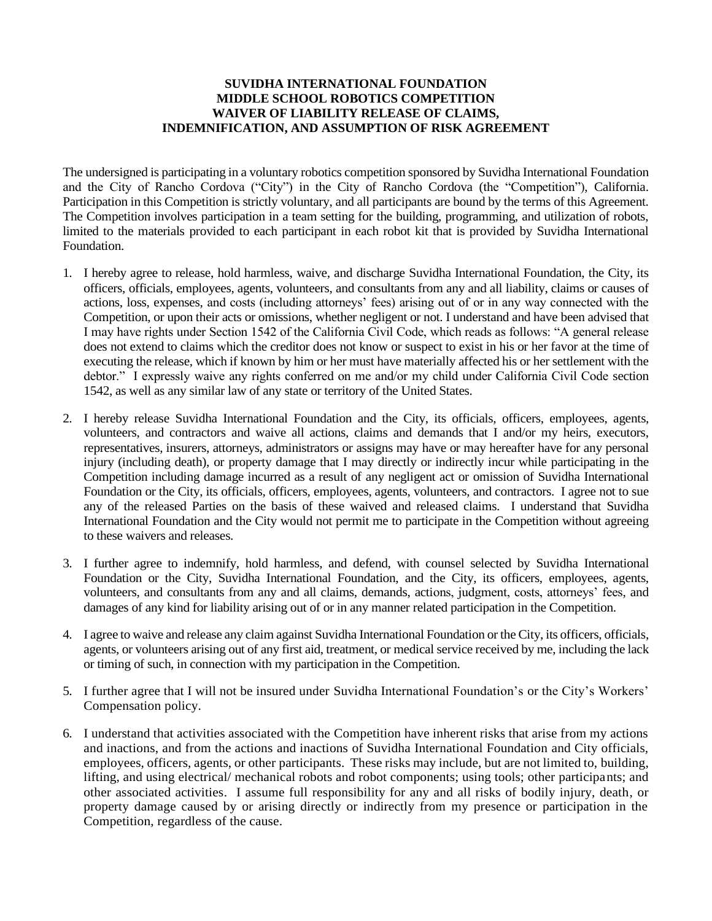## **SUVIDHA INTERNATIONAL FOUNDATION MIDDLE SCHOOL ROBOTICS COMPETITION WAIVER OF LIABILITY RELEASE OF CLAIMS, INDEMNIFICATION, AND ASSUMPTION OF RISK AGREEMENT**

The undersigned is participating in a voluntary robotics competition sponsored by Suvidha International Foundation and the City of Rancho Cordova ("City") in the City of Rancho Cordova (the "Competition"), California. Participation in this Competition is strictly voluntary, and all participants are bound by the terms of this Agreement. The Competition involves participation in a team setting for the building, programming, and utilization of robots, limited to the materials provided to each participant in each robot kit that is provided by Suvidha International Foundation.

- 1. I hereby agree to release, hold harmless, waive, and discharge Suvidha International Foundation, the City, its officers, officials, employees, agents, volunteers, and consultants from any and all liability, claims or causes of actions, loss, expenses, and costs (including attorneys' fees) arising out of or in any way connected with the Competition, or upon their acts or omissions, whether negligent or not. I understand and have been advised that I may have rights under Section 1542 of the California Civil Code, which reads as follows: "A general release does not extend to claims which the creditor does not know or suspect to exist in his or her favor at the time of executing the release, which if known by him or her must have materially affected his or her settlement with the debtor." I expressly waive any rights conferred on me and/or my child under California Civil Code section 1542, as well as any similar law of any state or territory of the United States.
- 2. I hereby release Suvidha International Foundation and the City, its officials, officers, employees, agents, volunteers, and contractors and waive all actions, claims and demands that I and/or my heirs, executors, representatives, insurers, attorneys, administrators or assigns may have or may hereafter have for any personal injury (including death), or property damage that I may directly or indirectly incur while participating in the Competition including damage incurred as a result of any negligent act or omission of Suvidha International Foundation or the City, its officials, officers, employees, agents, volunteers, and contractors. I agree not to sue any of the released Parties on the basis of these waived and released claims. I understand that Suvidha International Foundation and the City would not permit me to participate in the Competition without agreeing to these waivers and releases.
- 3. I further agree to indemnify, hold harmless, and defend, with counsel selected by Suvidha International Foundation or the City, Suvidha International Foundation, and the City, its officers, employees, agents, volunteers, and consultants from any and all claims, demands, actions, judgment, costs, attorneys' fees, and damages of any kind for liability arising out of or in any manner related participation in the Competition.
- 4. I agree to waive and release any claim against Suvidha International Foundation or the City, its officers, officials, agents, or volunteers arising out of any first aid, treatment, or medical service received by me, including the lack or timing of such, in connection with my participation in the Competition.
- 5. I further agree that I will not be insured under Suvidha International Foundation's or the City's Workers' Compensation policy.
- 6. I understand that activities associated with the Competition have inherent risks that arise from my actions and inactions, and from the actions and inactions of Suvidha International Foundation and City officials, employees, officers, agents, or other participants. These risks may include, but are not limited to, building, lifting, and using electrical/ mechanical robots and robot components; using tools; other participants; and other associated activities. I assume full responsibility for any and all risks of bodily injury, death, or property damage caused by or arising directly or indirectly from my presence or participation in the Competition, regardless of the cause.